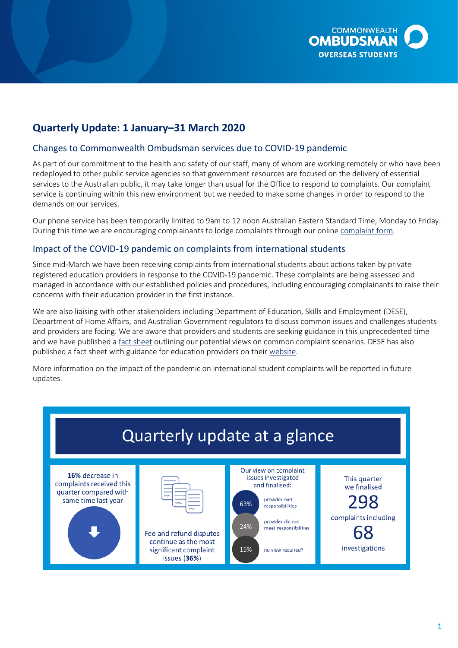

# **Quarterly Update: 1 January–31 March 2020**

# Changes to Commonwealth Ombudsman services due to COVID-19 pandemic

 As part of our commitment to the health and safety of our staff, many of whom are working remotely or who have been service is continuing within this new environment but we needed to make some changes in order to respond to the demands on our services. redeployed to other public service agencies so that government resources are focused on the delivery of essential services to the Australian public, it may take longer than usual for the Office to respond to complaints. Our complaint

 Our phone service has been temporarily limited to 9am to 12 noon Australian Eastern Standard Time, Monday to Friday. During this time we are encouraging complainants to lodge complaints through our onlin[e complaint form.](https://forms.business.gov.au/smartforms/servlet/SmartForm.html?formCode=oco-complaint-form)

## Impact of the COVID-19 pandemic on complaints from international students

 concerns with their education provider in the first instance. Since mid-March we have been receiving complaints from international students about actions taken by private registered education providers in response to the COVID-19 pandemic. These complaints are being assessed and managed in accordance with our established policies and procedures, including encouraging complainants to raise their

 We are also liaising with other stakeholders including Department of Education, Skills and Employment (DESE), and providers are facing. We are aware that providers and students are seeking guidance in this unprecedented time Department of Home Affairs, and Australian Government regulators to discuss common issues and challenges students and we have published a [fact sheet](https://www.ombudsman.gov.au/__data/assets/pdf_file/0007/111130/OSO-COVID-19-Fact-Sheet-A1979548.pdf) outlining our potential views on common complaint scenarios. DESE has also published a fact sheet with guidance for education providers on their [website.](https://docs.education.gov.au/node/53248)

More information on the impact of the pandemic on international student complaints will be reported in future updates.

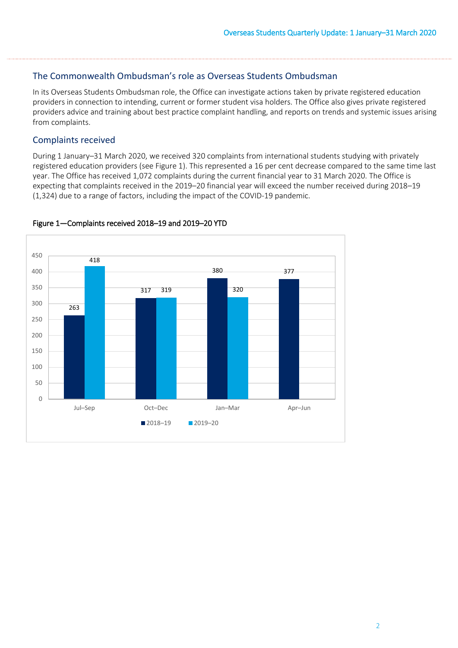#### The Commonwealth Ombudsman's role as Overseas Students Ombudsman

In its Overseas Students Ombudsman role, the Office can investigate actions taken by private registered education providers in connection to intending, current or former student visa holders. The Office also gives private registered providers advice and training about best practice complaint handling, and reports on trends and systemic issues arising from complaints.

## Complaints received

 During 1 January–31 March 2020, we received 320 complaints from international students studying with privately registered education providers (see Figure 1). This represented a 16 per cent decrease compared to the same time last year. The Office has received 1,072 complaints during the current financial year to 31 March 2020. The Office is expecting that complaints received in the 2019–20 financial year will exceed the number received during 2018–19 (1,324) due to a range of factors, including the impact of the COVID-19 pandemic.



#### Figure 1—Complaints received 2018–19 and 2019–20 YTD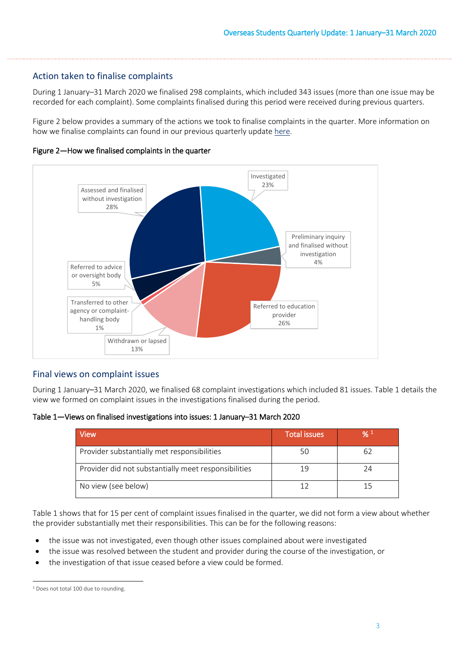# Action taken to finalise complaints

 During 1 January–31 March 2020 we finalised 298 complaints, which included 343 issues (more than one issue may be recorded for each complaint). Some complaints finalised during this period were received during previous quarters.

how we finalise complaints can found in our previous quarterly updat[e here.](https://www.ombudsman.gov.au/__data/assets/pdf_file/0011/110621/Overseas-Students-Quarterly-Summary-October-to-December-2019.pdf) Figure 2 below provides a summary of the actions we took to finalise complaints in the quarter. More information on





#### Final views on complaint issues

During 1 January–31 March 2020, we finalised 68 complaint investigations which included 81 issues. Table 1 details the view we formed on complaint issues in the investigations finalised during the period.

Table 1**—**Views on finalised investigations into issues: 1 January–31 March 2020

| View                                                 | <b>Total issues</b> | $\frac{9}{6}$ 1 |
|------------------------------------------------------|---------------------|-----------------|
| Provider substantially met responsibilities          |                     | 62              |
| Provider did not substantially meet responsibilities | 19                  | 24              |
| No view (see below)                                  |                     |                 |

 Table 1 shows that for 15 per cent of complaint issues finalised in the quarter, we did not form a view about whether the provider substantially met their responsibilities. This can be for the following reasons:

- the issue was not investigated, even though other issues complained about were investigated
- the issue was resolved between the student and provider during the course of the investigation, or
- the investigation of that issue ceased before a view could be formed.

<span id="page-2-0"></span>l <sup>1</sup> Does not total 100 due to rounding.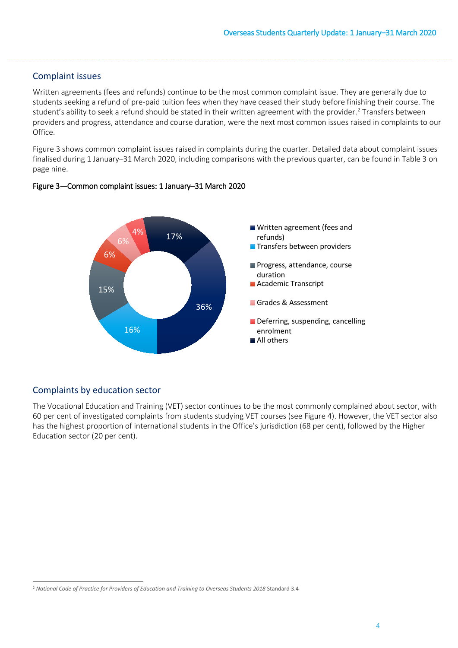#### Complaint issues

Written agreements (fees and refunds) continue to be the most common complaint issue. They are generally due to students seeking a refund of pre-paid tuition fees when they have ceased their study before finishing their course. The student's ability to seek a refund should be stated in their written agreement with the provider. [2](#page-3-0) Transfers between providers and progress, attendance and course duration, were the next most common issues raised in complaints to our Office.

 Figure 3 shows common complaint issues raised in complaints during the quarter. Detailed data about complaint issues finalised during 1 January–31 March 2020, including comparisons with the previous quarter, can be found in Table 3 on page nine.



#### Figure 3—Common complaint issues: 1 January–31 March 2020

## Complaints by education sector

 The Vocational Education and Training (VET) sector continues to be the most commonly complained about sector, with 60 per cent of investigated complaints from students studying VET courses (see Figure 4). However, the VET sector also has the highest proportion of international students in the Office's jurisdiction (68 per cent), followed by the Higher Education sector (20 per cent).

<span id="page-3-0"></span>l <sup>2</sup> National Code of Practice for Providers of Education and Training to Overseas Students 2018 Standard 3.4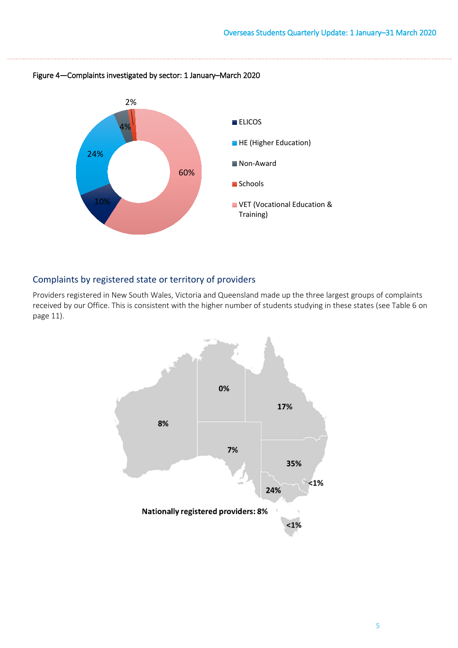

Figure 4—Complaints investigated by sector: 1 January–March 2020

# Complaints by registered state or territory of providers

Providers registered in New South Wales, Victoria and Queensland made up the three largest groups of complaints received by our Office. This is consistent with the higher number of students studying in these states (see Table 6 on page 11).

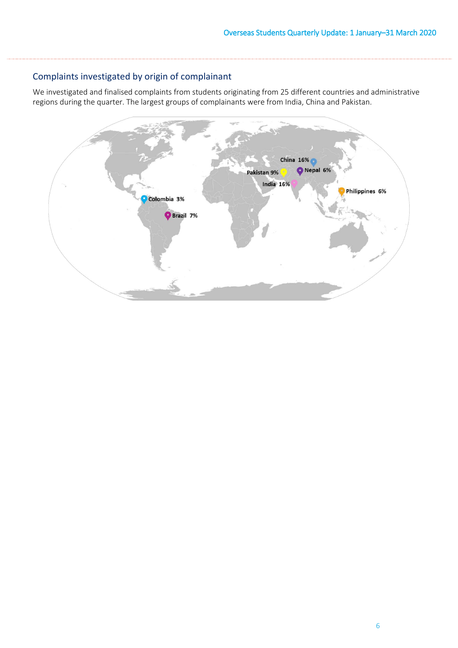# Complaints investigated by origin of complainant

We investigated and finalised complaints from students originating from 25 different countries and administrative regions during the quarter. The largest groups of complainants were from India, China and Pakistan.

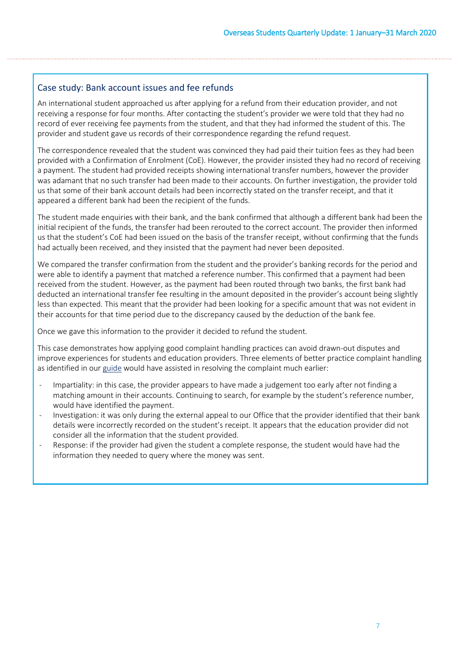## Case study: Bank account issues and fee refunds

 provider and student gave us records of their correspondence regarding the refund request. An international student approached us after applying for a refund from their education provider, and not receiving a response for four months. After contacting the student's provider we were told that they had no record of ever receiving fee payments from the student, and that they had informed the student of this. The

 provided with a Confirmation of Enrolment (CoE). However, the provider insisted they had no record of receiving The correspondence revealed that the student was convinced they had paid their tuition fees as they had been a payment. The student had provided receipts showing international transfer numbers, however the provider was adamant that no such transfer had been made to their accounts. On further investigation, the provider told us that some of their bank account details had been incorrectly stated on the transfer receipt, and that it appeared a different bank had been the recipient of the funds.

The student made enquiries with their bank, and the bank confirmed that although a different bank had been the initial recipient of the funds, the transfer had been rerouted to the correct account. The provider then informed us that the student's CoE had been issued on the basis of the transfer receipt, without confirming that the funds had actually been received, and they insisted that the payment had never been deposited.

 We compared the transfer confirmation from the student and the provider's banking records for the period and received from the student. However, as the payment had been routed through two banks, the first bank had deducted an international transfer fee resulting in the amount deposited in the provider's account being slightly less than expected. This meant that the provider had been looking for a specific amount that was not evident in were able to identify a payment that matched a reference number. This confirmed that a payment had been their accounts for that time period due to the discrepancy caused by the deduction of the bank fee.

Once we gave this information to the provider it decided to refund the student.

 improve experiences for students and education providers. Three elements of better practice complaint handling This case demonstrates how applying good complaint handling practices can avoid drawn-out disputes and as identified in ou[r guide](https://www.ombudsman.gov.au/__data/assets/pdf_file/0020/35615/Better-practice-guide-to-complaint-handling.pdf) would have assisted in resolving the complaint much earlier:

- matching amount in their accounts. Continuing to search, for example by the student's reference number, - Impartiality: in this case, the provider appears to have made a judgement too early after not finding a would have identified the payment.
- Investigation: it was only during the external appeal to our Office that the provider identified that their bank details were incorrectly recorded on the student's receipt. It appears that the education provider did not consider all the information that the student provided.
- Response: if the provider had given the student a complete response, the student would have had the information they needed to query where the money was sent.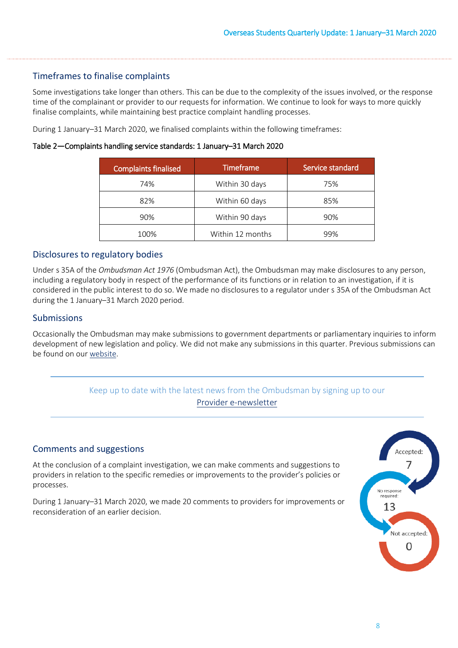#### Timeframes to finalise complaints

 time of the complainant or provider to our requests for information. We continue to look for ways to more quickly finalise complaints, while maintaining best practice complaint handling processes. Some investigations take longer than others. This can be due to the complexity of the issues involved, or the response

During 1 January–31 March 2020, we finalised complaints within the following timeframes:

Table 2**—**Complaints handling service standards: 1 January–31 March 2020

| <b>Complaints finalised</b> | <b>Timeframe</b> | Service standard |
|-----------------------------|------------------|------------------|
| 74%                         | Within 30 days   | 75%              |
| 82%                         | Within 60 days   | 85%              |
| 90%                         | Within 90 days   | 90%              |
| 100%                        | Within 12 months | 99%              |

#### Disclosures to regulatory bodies

 considered in the public interest to do so. We made no disclosures to a regulator under s 35A of the Ombudsman Act during the 1 January–31 March 2020 period. Under s 35A of the *Ombudsman Act 1976* (Ombudsman Act), the Ombudsman may make disclosures to any person, including a regulatory body in respect of the performance of its functions or in relation to an investigation, if it is

#### Submissions

 Occasionally the Ombudsman may make submissions to government departments or parliamentary inquiries to inform development of new legislation and policy. We did not make any submissions in this quarter. Previous submissions can be found on ou[r website.](http://www.ombudsman.gov.au/publications/submissions/all-submissions?root_node_selection=35944&page_asset_listing_90039_submit_button=Refresh)



 During 1 January–31 March 2020, we made 20 comments to providers for improvements or reconsideration of an earlier decision.

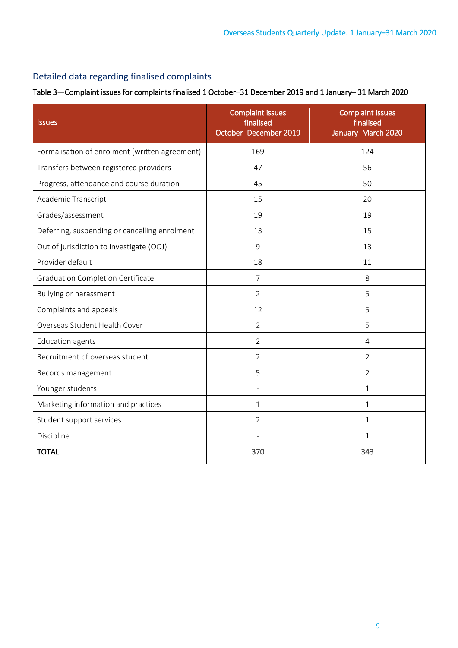# Detailed data regarding finalised complaints

Table 3**—**Complaint issues for complaints finalised 1 October–31 December 2019 and 1 January– 31 March 2020

| <b>Issues</b>                                  | <b>Complaint issues</b><br>finalised<br>October December 2019 | <b>Complaint issues</b><br>finalised<br>January March 2020 |
|------------------------------------------------|---------------------------------------------------------------|------------------------------------------------------------|
| Formalisation of enrolment (written agreement) | 169                                                           | 124                                                        |
| Transfers between registered providers         | 47                                                            | 56                                                         |
| Progress, attendance and course duration       | 45                                                            | 50                                                         |
| Academic Transcript                            | 15                                                            | 20                                                         |
| Grades/assessment                              | 19                                                            | 19                                                         |
| Deferring, suspending or cancelling enrolment  | 13                                                            | 15                                                         |
| Out of jurisdiction to investigate (OOJ)       | 9                                                             | 13                                                         |
| Provider default                               | 18                                                            | 11                                                         |
| <b>Graduation Completion Certificate</b>       | $\overline{7}$                                                | 8                                                          |
| Bullying or harassment                         | 2                                                             | 5                                                          |
| Complaints and appeals                         | 12                                                            | 5                                                          |
| Overseas Student Health Cover                  | $\overline{2}$                                                | 5                                                          |
| <b>Education agents</b>                        | $\overline{2}$                                                | $\overline{4}$                                             |
| Recruitment of overseas student                | $\overline{2}$                                                | $\overline{2}$                                             |
| Records management                             | 5                                                             | $\overline{2}$                                             |
| Younger students                               |                                                               | $\mathbf{1}$                                               |
| Marketing information and practices            | 1                                                             | 1                                                          |
| Student support services                       | $\overline{2}$                                                | $\mathbf 1$                                                |
| Discipline                                     |                                                               | 1                                                          |
| <b>TOTAL</b>                                   | 370                                                           | 343                                                        |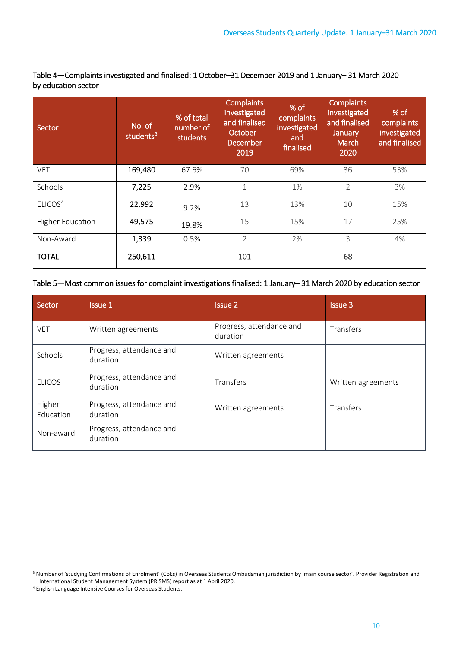Table 4**—**Complaints investigated and finalised: 1 October–31 December 2019 and 1 January– 31 March 2020 by education sector

| Sector                  | No. of<br>students <sup>3</sup> | % of total<br>number of<br>students | <b>Complaints</b><br>investigated<br>and finalised<br>October<br><b>December</b><br>2019 | % of<br>complaints<br>investigated<br>and<br>finalised | <b>Complaints</b><br>investigated<br>and finalised<br>January<br>March<br>2020 | % of<br>complaints<br>investigated<br>and finalised |
|-------------------------|---------------------------------|-------------------------------------|------------------------------------------------------------------------------------------|--------------------------------------------------------|--------------------------------------------------------------------------------|-----------------------------------------------------|
| <b>VET</b>              | 169,480                         | 67.6%                               | 70                                                                                       | 69%                                                    | 36                                                                             | 53%                                                 |
| Schools                 | 7,225                           | 2.9%                                | 1                                                                                        | 1%                                                     | $\overline{2}$                                                                 | 3%                                                  |
| ELICOS <sup>4</sup>     | 22,992                          | 9.2%                                | 13                                                                                       | 13%                                                    | 10                                                                             | 15%                                                 |
| <b>Higher Education</b> | 49,575                          | 19.8%                               | 15                                                                                       | 15%                                                    | 17                                                                             | 25%                                                 |
| Non-Award               | 1,339                           | 0.5%                                | $\overline{2}$                                                                           | 2%                                                     | 3                                                                              | 4%                                                  |
| <b>TOTAL</b>            | 250,611                         |                                     | 101                                                                                      |                                                        | 68                                                                             |                                                     |

#### Table 5**—**Most common issues for complaint investigations finalised: 1 January– 31 March 2020 by education sector

| Sector              | <b>Issue 1</b>                       | <b>Issue 2</b>                       | <b>Issue 3</b>     |
|---------------------|--------------------------------------|--------------------------------------|--------------------|
| <b>VET</b>          | Written agreements                   | Progress, attendance and<br>duration | Transfers          |
| Schools             | Progress, attendance and<br>duration | Written agreements                   |                    |
| <b>ELICOS</b>       | Progress, attendance and<br>duration | Transfers                            | Written agreements |
| Higher<br>Education | Progress, attendance and<br>duration | Written agreements                   | Transfers          |
| Non-award           | Progress, attendance and<br>duration |                                      |                    |

 $\overline{a}$ 

<span id="page-9-0"></span><sup>&</sup>lt;sup>3</sup> Number of 'studying Confirmations of Enrolment' (CoEs) in Overseas Students Ombudsman jurisdiction by 'main course sector'. Provider Registration and International Student Management System (PRISMS) report as at 1 April 2020. 4 English Language Intensive Courses for Overseas Students.

<span id="page-9-1"></span>